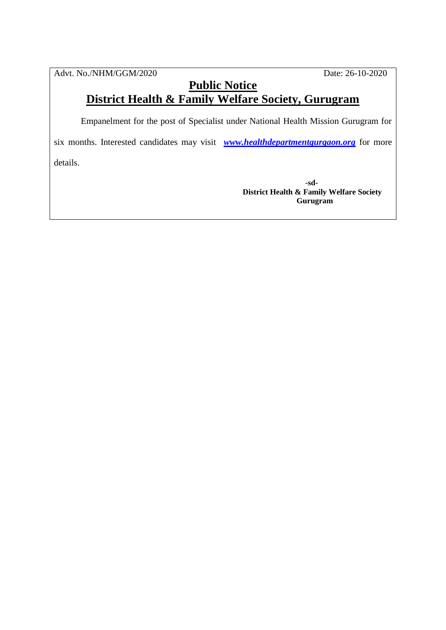Advt. No./NHM/GGM/2020 Date: 26-10-2020

## **Public Notice District Health & Family Welfare Society, Gurugram**

Empanelment for the post of Specialist under National Health Mission Gurugram for

six months. Interested candidates may visit *[www.healthdepartmentgurgaon.org](http://www.healthdepartmentgurgaon.org/)* for more details.

> **-sd-District Health & Family Welfare Society Gurugram**